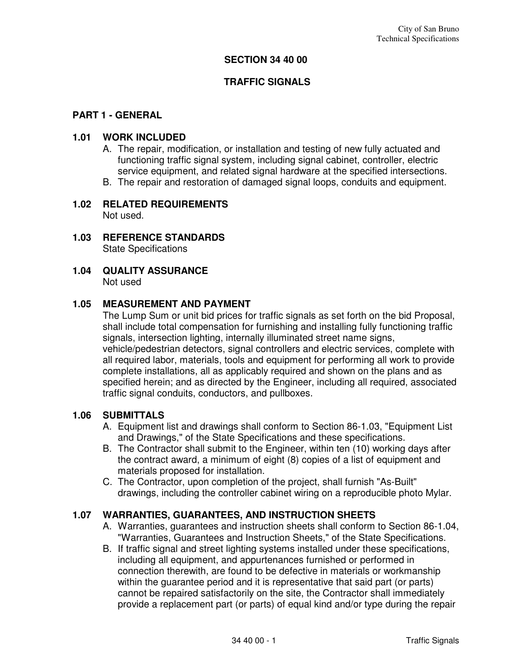#### **SECTION 34 40 00**

#### **TRAFFIC SIGNALS**

#### **PART 1 - GENERAL**

#### **1.01 WORK INCLUDED**

- A. The repair, modification, or installation and testing of new fully actuated and functioning traffic signal system, including signal cabinet, controller, electric service equipment, and related signal hardware at the specified intersections.
- B. The repair and restoration of damaged signal loops, conduits and equipment.

#### **1.02 RELATED REQUIREMENTS**  Not used.

- **1.03 REFERENCE STANDARDS**  State Specifications
- **1.04 QUALITY ASSURANCE**  Not used

#### **1.05 MEASUREMENT AND PAYMENT**

The Lump Sum or unit bid prices for traffic signals as set forth on the bid Proposal, shall include total compensation for furnishing and installing fully functioning traffic signals, intersection lighting, internally illuminated street name signs, vehicle/pedestrian detectors, signal controllers and electric services, complete with all required labor, materials, tools and equipment for performing all work to provide complete installations, all as applicably required and shown on the plans and as specified herein; and as directed by the Engineer, including all required, associated traffic signal conduits, conductors, and pullboxes.

#### **1.06 SUBMITTALS**

- A. Equipment list and drawings shall conform to Section 86-1.03, "Equipment List and Drawings," of the State Specifications and these specifications.
- B. The Contractor shall submit to the Engineer, within ten (10) working days after the contract award, a minimum of eight (8) copies of a list of equipment and materials proposed for installation.
- C. The Contractor, upon completion of the project, shall furnish "As-Built" drawings, including the controller cabinet wiring on a reproducible photo Mylar.

#### **1.07 WARRANTIES, GUARANTEES, AND INSTRUCTION SHEETS**

- A. Warranties, guarantees and instruction sheets shall conform to Section 86-1.04, "Warranties, Guarantees and Instruction Sheets," of the State Specifications.
- B. If traffic signal and street lighting systems installed under these specifications, including all equipment, and appurtenances furnished or performed in connection therewith, are found to be defective in materials or workmanship within the guarantee period and it is representative that said part (or parts) cannot be repaired satisfactorily on the site, the Contractor shall immediately provide a replacement part (or parts) of equal kind and/or type during the repair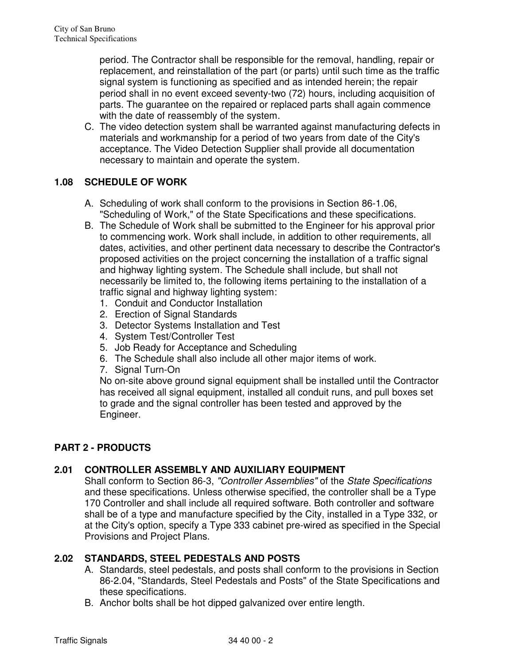period. The Contractor shall be responsible for the removal, handling, repair or replacement, and reinstallation of the part (or parts) until such time as the traffic signal system is functioning as specified and as intended herein; the repair period shall in no event exceed seventy-two (72) hours, including acquisition of parts. The guarantee on the repaired or replaced parts shall again commence with the date of reassembly of the system.

C. The video detection system shall be warranted against manufacturing defects in materials and workmanship for a period of two years from date of the City's acceptance. The Video Detection Supplier shall provide all documentation necessary to maintain and operate the system.

## **1.08 SCHEDULE OF WORK**

- A. Scheduling of work shall conform to the provisions in Section 86-1.06, "Scheduling of Work," of the State Specifications and these specifications.
- B. The Schedule of Work shall be submitted to the Engineer for his approval prior to commencing work. Work shall include, in addition to other requirements, all dates, activities, and other pertinent data necessary to describe the Contractor's proposed activities on the project concerning the installation of a traffic signal and highway lighting system. The Schedule shall include, but shall not necessarily be limited to, the following items pertaining to the installation of a traffic signal and highway lighting system:
	- 1. Conduit and Conductor Installation
	- 2. Erection of Signal Standards
	- 3. Detector Systems Installation and Test
	- 4. System Test/Controller Test
	- 5. Job Ready for Acceptance and Scheduling
	- 6. The Schedule shall also include all other major items of work.
	- 7. Signal Turn-On

No on-site above ground signal equipment shall be installed until the Contractor has received all signal equipment, installed all conduit runs, and pull boxes set to grade and the signal controller has been tested and approved by the Engineer.

## **PART 2 - PRODUCTS**

## **2.01 CONTROLLER ASSEMBLY AND AUXILIARY EQUIPMENT**

Shall conform to Section 86-3, "Controller Assemblies" of the State Specifications and these specifications. Unless otherwise specified, the controller shall be a Type 170 Controller and shall include all required software. Both controller and software shall be of a type and manufacture specified by the City, installed in a Type 332, or at the City's option, specify a Type 333 cabinet pre-wired as specified in the Special Provisions and Project Plans.

## **2.02 STANDARDS, STEEL PEDESTALS AND POSTS**

- A. Standards, steel pedestals, and posts shall conform to the provisions in Section 86-2.04, "Standards, Steel Pedestals and Posts" of the State Specifications and these specifications.
- B. Anchor bolts shall be hot dipped galvanized over entire length.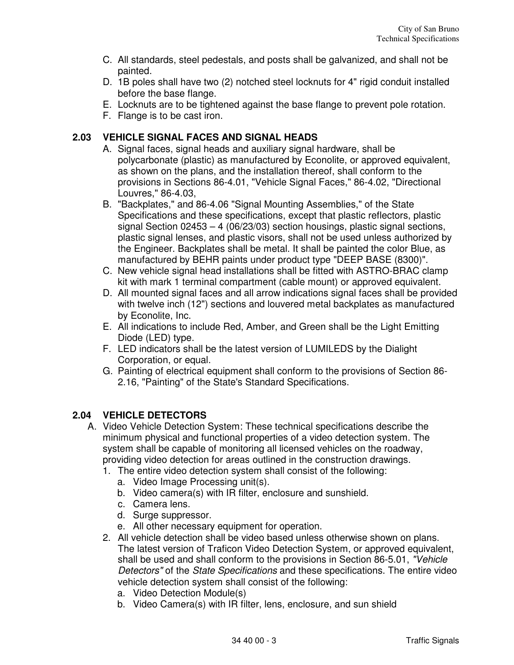- C. All standards, steel pedestals, and posts shall be galvanized, and shall not be painted.
- D. 1B poles shall have two (2) notched steel locknuts for 4" rigid conduit installed before the base flange.
- E. Locknuts are to be tightened against the base flange to prevent pole rotation.
- F. Flange is to be cast iron.

# **2.03 VEHICLE SIGNAL FACES AND SIGNAL HEADS**

- A. Signal faces, signal heads and auxiliary signal hardware, shall be polycarbonate (plastic) as manufactured by Econolite, or approved equivalent, as shown on the plans, and the installation thereof, shall conform to the provisions in Sections 86-4.01, "Vehicle Signal Faces," 86-4.02, "Directional Louvres," 86-4.03,
- B. "Backplates," and 86-4.06 "Signal Mounting Assemblies," of the State Specifications and these specifications, except that plastic reflectors, plastic signal Section 02453 – 4 (06/23/03) section housings, plastic signal sections, plastic signal lenses, and plastic visors, shall not be used unless authorized by the Engineer. Backplates shall be metal. It shall be painted the color Blue, as manufactured by BEHR paints under product type "DEEP BASE (8300)".
- C. New vehicle signal head installations shall be fitted with ASTRO-BRAC clamp kit with mark 1 terminal compartment (cable mount) or approved equivalent.
- D. All mounted signal faces and all arrow indications signal faces shall be provided with twelve inch (12") sections and louvered metal backplates as manufactured by Econolite, Inc.
- E. All indications to include Red, Amber, and Green shall be the Light Emitting Diode (LED) type.
- F. LED indicators shall be the latest version of LUMILEDS by the Dialight Corporation, or equal.
- G. Painting of electrical equipment shall conform to the provisions of Section 86- 2.16, "Painting" of the State's Standard Specifications.

# **2.04 VEHICLE DETECTORS**

- A. Video Vehicle Detection System: These technical specifications describe the minimum physical and functional properties of a video detection system. The system shall be capable of monitoring all licensed vehicles on the roadway, providing video detection for areas outlined in the construction drawings.
	- 1. The entire video detection system shall consist of the following:
		- a. Video Image Processing unit(s).
		- b. Video camera(s) with IR filter, enclosure and sunshield.
		- c. Camera lens.
		- d. Surge suppressor.
		- e. All other necessary equipment for operation.
	- 2. All vehicle detection shall be video based unless otherwise shown on plans. The latest version of Traficon Video Detection System, or approved equivalent, shall be used and shall conform to the provisions in Section 86-5.01, "Vehicle Detectors" of the State Specifications and these specifications. The entire video vehicle detection system shall consist of the following:
		- a. Video Detection Module(s)
		- b. Video Camera(s) with IR filter, lens, enclosure, and sun shield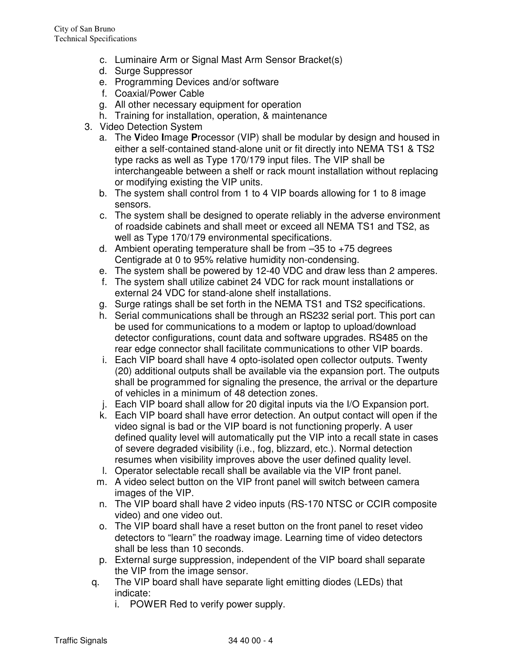- c. Luminaire Arm or Signal Mast Arm Sensor Bracket(s)
- d. Surge Suppressor
- e. Programming Devices and/or software
- f. Coaxial/Power Cable
- g. All other necessary equipment for operation
- h. Training for installation, operation, & maintenance
- 3. Video Detection System
	- a. The **V**ideo **I**mage **P**rocessor (VIP) shall be modular by design and housed in either a self-contained stand-alone unit or fit directly into NEMA TS1 & TS2 type racks as well as Type 170/179 input files. The VIP shall be interchangeable between a shelf or rack mount installation without replacing or modifying existing the VIP units.
	- b. The system shall control from 1 to 4 VIP boards allowing for 1 to 8 image sensors.
	- c. The system shall be designed to operate reliably in the adverse environment of roadside cabinets and shall meet or exceed all NEMA TS1 and TS2, as well as Type 170/179 environmental specifications.
	- d. Ambient operating temperature shall be from  $-35$  to  $+75$  degrees Centigrade at 0 to 95% relative humidity non-condensing.
	- e. The system shall be powered by 12-40 VDC and draw less than 2 amperes.
	- f. The system shall utilize cabinet 24 VDC for rack mount installations or external 24 VDC for stand-alone shelf installations.
	- g. Surge ratings shall be set forth in the NEMA TS1 and TS2 specifications.
	- h. Serial communications shall be through an RS232 serial port. This port can be used for communications to a modem or laptop to upload/download detector configurations, count data and software upgrades. RS485 on the rear edge connector shall facilitate communications to other VIP boards.
	- i. Each VIP board shall have 4 opto-isolated open collector outputs. Twenty (20) additional outputs shall be available via the expansion port. The outputs shall be programmed for signaling the presence, the arrival or the departure of vehicles in a minimum of 48 detection zones.
	- j. Each VIP board shall allow for 20 digital inputs via the I/O Expansion port.
	- k. Each VIP board shall have error detection. An output contact will open if the video signal is bad or the VIP board is not functioning properly. A user defined quality level will automatically put the VIP into a recall state in cases of severe degraded visibility (i.e., fog, blizzard, etc.). Normal detection resumes when visibility improves above the user defined quality level.
	- l. Operator selectable recall shall be available via the VIP front panel.
	- m. A video select button on the VIP front panel will switch between camera images of the VIP.
	- n. The VIP board shall have 2 video inputs (RS-170 NTSC or CCIR composite video) and one video out.
	- o. The VIP board shall have a reset button on the front panel to reset video detectors to "learn" the roadway image. Learning time of video detectors shall be less than 10 seconds.
	- p. External surge suppression, independent of the VIP board shall separate the VIP from the image sensor.
	- q. The VIP board shall have separate light emitting diodes (LEDs) that indicate:
		- i. POWER Red to verify power supply.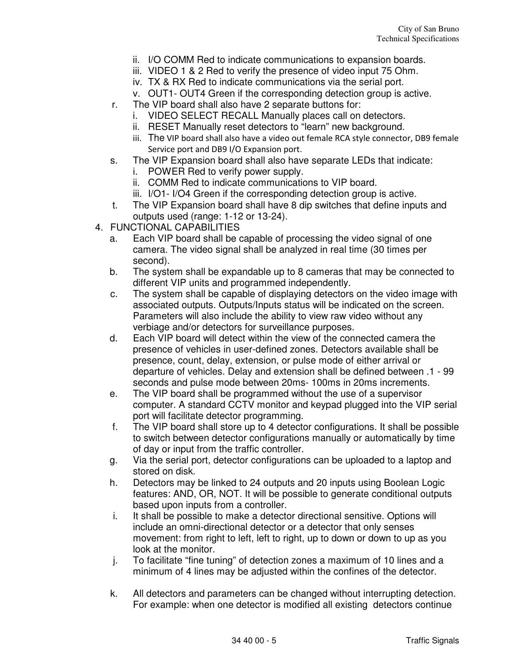- ii. I/O COMM Red to indicate communications to expansion boards.
- iii. VIDEO 1 & 2 Red to verify the presence of video input 75 Ohm.
- iv. TX & RX Red to indicate communications via the serial port.
- v. OUT1- OUT4 Green if the corresponding detection group is active.
- r. The VIP board shall also have 2 separate buttons for:
	- i. VIDEO SELECT RECALL Manually places call on detectors.
	- ii. RESET Manually reset detectors to "learn" new background.
	- iii. The VIP board shall also have a video out female RCA style connector, DB9 female Service port and DB9 I/O Expansion port.
- s. The VIP Expansion board shall also have separate LEDs that indicate:
	- i. POWER Red to verify power supply.
	- ii. COMM Red to indicate communications to VIP board.
	- iii. I/O1-I/O4 Green if the corresponding detection group is active.
- t. The VIP Expansion board shall have 8 dip switches that define inputs and outputs used (range: 1-12 or 13-24).
- 4. FUNCTIONAL CAPABILITIES
	- a. Each VIP board shall be capable of processing the video signal of one camera. The video signal shall be analyzed in real time (30 times per second).
	- b. The system shall be expandable up to 8 cameras that may be connected to different VIP units and programmed independently.
	- c. The system shall be capable of displaying detectors on the video image with associated outputs. Outputs/Inputs status will be indicated on the screen. Parameters will also include the ability to view raw video without any verbiage and/or detectors for surveillance purposes.
	- d. Each VIP board will detect within the view of the connected camera the presence of vehicles in user-defined zones. Detectors available shall be presence, count, delay, extension, or pulse mode of either arrival or departure of vehicles. Delay and extension shall be defined between .1 - 99 seconds and pulse mode between 20ms- 100ms in 20ms increments.
	- e. The VIP board shall be programmed without the use of a supervisor computer. A standard CCTV monitor and keypad plugged into the VIP serial port will facilitate detector programming.
	- f. The VIP board shall store up to 4 detector configurations. It shall be possible to switch between detector configurations manually or automatically by time of day or input from the traffic controller.
	- g. Via the serial port, detector configurations can be uploaded to a laptop and stored on disk.
	- h. Detectors may be linked to 24 outputs and 20 inputs using Boolean Logic features: AND, OR, NOT. It will be possible to generate conditional outputs based upon inputs from a controller.
	- i. It shall be possible to make a detector directional sensitive. Options will include an omni-directional detector or a detector that only senses movement: from right to left, left to right, up to down or down to up as you look at the monitor.
	- j. To facilitate "fine tuning" of detection zones a maximum of 10 lines and a minimum of 4 lines may be adjusted within the confines of the detector.
	- k. All detectors and parameters can be changed without interrupting detection. For example: when one detector is modified all existing detectors continue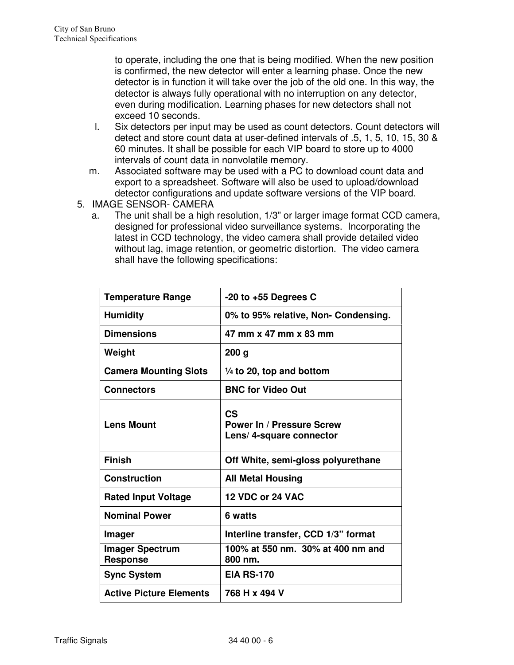to operate, including the one that is being modified. When the new position is confirmed, the new detector will enter a learning phase. Once the new detector is in function it will take over the job of the old one. In this way, the detector is always fully operational with no interruption on any detector, even during modification. Learning phases for new detectors shall not exceed 10 seconds.

- l. Six detectors per input may be used as count detectors. Count detectors will detect and store count data at user-defined intervals of .5, 1, 5, 10, 15, 30 & 60 minutes. It shall be possible for each VIP board to store up to 4000 intervals of count data in nonvolatile memory.
- m. Associated software may be used with a PC to download count data and export to a spreadsheet. Software will also be used to upload/download detector configurations and update software versions of the VIP board.
- 5. IMAGE SENSOR- CAMERA
	- a. The unit shall be a high resolution, 1/3" or larger image format CCD camera, designed for professional video surveillance systems. Incorporating the latest in CCD technology, the video camera shall provide detailed video without lag, image retention, or geometric distortion. The video camera shall have the following specifications:

| <b>Temperature Range</b>                  | $-20$ to $+55$ Degrees C                                           |
|-------------------------------------------|--------------------------------------------------------------------|
| <b>Humidity</b>                           | 0% to 95% relative, Non- Condensing.                               |
| <b>Dimensions</b>                         | 47 mm x 47 mm x 83 mm                                              |
| Weight                                    | 200 g                                                              |
| <b>Camera Mounting Slots</b>              | $\frac{1}{4}$ to 20, top and bottom                                |
| <b>Connectors</b>                         | <b>BNC for Video Out</b>                                           |
| <b>Lens Mount</b>                         | CS<br><b>Power In / Pressure Screw</b><br>Lens/ 4-square connector |
| <b>Finish</b>                             | Off White, semi-gloss polyurethane                                 |
| <b>Construction</b>                       | <b>All Metal Housing</b>                                           |
| <b>Rated Input Voltage</b>                | 12 VDC or 24 VAC                                                   |
| <b>Nominal Power</b>                      | 6 watts                                                            |
| <b>Imager</b>                             | Interline transfer, CCD 1/3" format                                |
| <b>Imager Spectrum</b><br><b>Response</b> | 100% at 550 nm. 30% at 400 nm and<br>800 nm.                       |
| <b>Sync System</b>                        | <b>EIA RS-170</b>                                                  |
|                                           |                                                                    |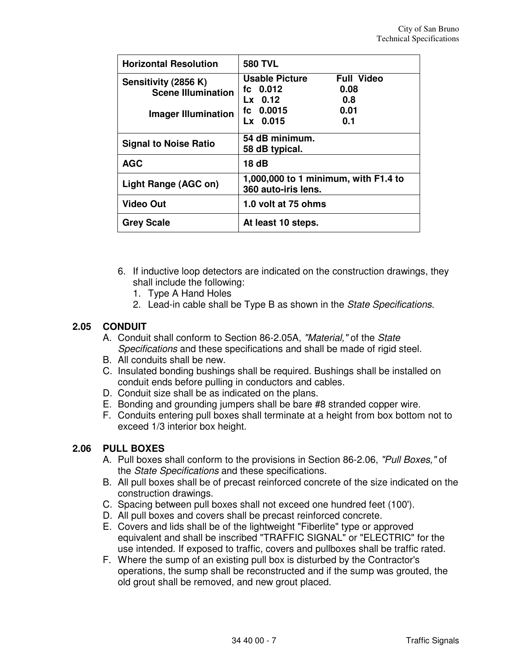| <b>Horizontal Resolution</b>                                                    | <b>580 TVL</b>                                                                                                             |
|---------------------------------------------------------------------------------|----------------------------------------------------------------------------------------------------------------------------|
| Sensitivity (2856 K)<br><b>Scene Illumination</b><br><b>Imager Illumination</b> | <b>Usable Picture</b><br><b>Full Video</b><br>fc 0.012<br>0.08<br>Lx 0.12<br>0.8<br>fc $0.0015$<br>0.01<br>Lx 0.015<br>0.1 |
| <b>Signal to Noise Ratio</b>                                                    | 54 dB minimum.<br>58 dB typical.                                                                                           |
| <b>AGC</b>                                                                      | 18 dB                                                                                                                      |
| Light Range (AGC on)                                                            | 1,000,000 to 1 minimum, with F1.4 to<br>360 auto-iris lens.                                                                |
| <b>Video Out</b>                                                                | 1.0 volt at 75 ohms                                                                                                        |
| <b>Grey Scale</b>                                                               | At least 10 steps.                                                                                                         |

- 6. If inductive loop detectors are indicated on the construction drawings, they shall include the following:
	- 1. Type A Hand Holes
	- 2. Lead-in cable shall be Type B as shown in the State Specifications.

# **2.05 CONDUIT**

- A. Conduit shall conform to Section 86-2.05A, "Material," of the State Specifications and these specifications and shall be made of rigid steel.
- B. All conduits shall be new.
- C. Insulated bonding bushings shall be required. Bushings shall be installed on conduit ends before pulling in conductors and cables.
- D. Conduit size shall be as indicated on the plans.
- E. Bonding and grounding jumpers shall be bare #8 stranded copper wire.
- F. Conduits entering pull boxes shall terminate at a height from box bottom not to exceed 1/3 interior box height.

## **2.06 PULL BOXES**

- A. Pull boxes shall conform to the provisions in Section 86-2.06, "Pull Boxes," of the State Specifications and these specifications.
- B. All pull boxes shall be of precast reinforced concrete of the size indicated on the construction drawings.
- C. Spacing between pull boxes shall not exceed one hundred feet (100').
- D. All pull boxes and covers shall be precast reinforced concrete.
- E. Covers and lids shall be of the lightweight "Fiberlite" type or approved equivalent and shall be inscribed "TRAFFIC SIGNAL" or "ELECTRIC" for the use intended. If exposed to traffic, covers and pullboxes shall be traffic rated.
- F. Where the sump of an existing pull box is disturbed by the Contractor's operations, the sump shall be reconstructed and if the sump was grouted, the old grout shall be removed, and new grout placed.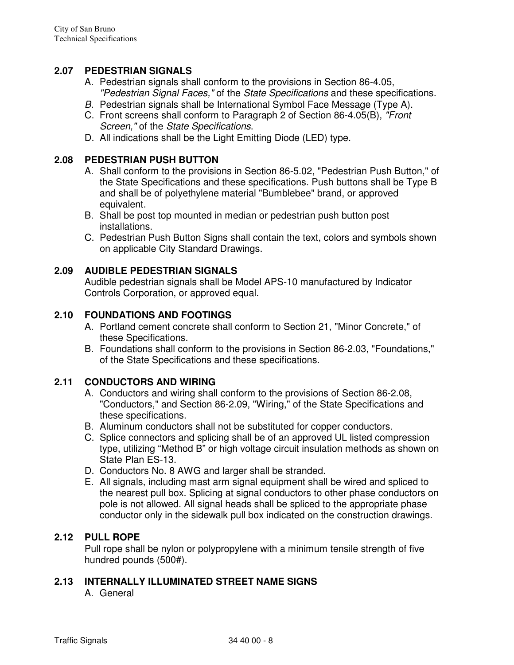### **2.07 PEDESTRIAN SIGNALS**

- A. Pedestrian signals shall conform to the provisions in Section 86-4.05, "Pedestrian Signal Faces," of the State Specifications and these specifications.
- B. Pedestrian signals shall be International Symbol Face Message (Type A).
- C. Front screens shall conform to Paragraph 2 of Section 86-4.05(B), "Front Screen," of the State Specifications.
- D. All indications shall be the Light Emitting Diode (LED) type.

### **2.08 PEDESTRIAN PUSH BUTTON**

- A. Shall conform to the provisions in Section 86-5.02, "Pedestrian Push Button," of the State Specifications and these specifications. Push buttons shall be Type B and shall be of polyethylene material "Bumblebee" brand, or approved equivalent.
- B. Shall be post top mounted in median or pedestrian push button post installations.
- C. Pedestrian Push Button Signs shall contain the text, colors and symbols shown on applicable City Standard Drawings.

#### **2.09 AUDIBLE PEDESTRIAN SIGNALS**

Audible pedestrian signals shall be Model APS-10 manufactured by Indicator Controls Corporation, or approved equal.

#### **2.10 FOUNDATIONS AND FOOTINGS**

- A. Portland cement concrete shall conform to Section 21, "Minor Concrete," of these Specifications.
- B. Foundations shall conform to the provisions in Section 86-2.03, "Foundations," of the State Specifications and these specifications.

#### **2.11 CONDUCTORS AND WIRING**

- A. Conductors and wiring shall conform to the provisions of Section 86-2.08, "Conductors," and Section 86-2.09, "Wiring," of the State Specifications and these specifications.
- B. Aluminum conductors shall not be substituted for copper conductors.
- C. Splice connectors and splicing shall be of an approved UL listed compression type, utilizing "Method B" or high voltage circuit insulation methods as shown on State Plan ES-13.
- D. Conductors No. 8 AWG and larger shall be stranded.
- E. All signals, including mast arm signal equipment shall be wired and spliced to the nearest pull box. Splicing at signal conductors to other phase conductors on pole is not allowed. All signal heads shall be spliced to the appropriate phase conductor only in the sidewalk pull box indicated on the construction drawings.

#### **2.12 PULL ROPE**

Pull rope shall be nylon or polypropylene with a minimum tensile strength of five hundred pounds (500#).

## **2.13 INTERNALLY ILLUMINATED STREET NAME SIGNS**

A. General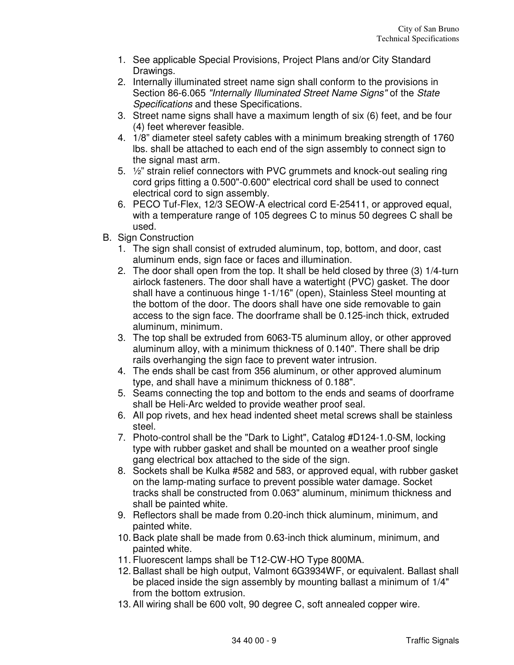- 1. See applicable Special Provisions, Project Plans and/or City Standard Drawings.
- 2. Internally illuminated street name sign shall conform to the provisions in Section 86-6.065 "Internally Illuminated Street Name Signs" of the State Specifications and these Specifications.
- 3. Street name signs shall have a maximum length of six (6) feet, and be four (4) feet wherever feasible.
- 4. 1/8" diameter steel safety cables with a minimum breaking strength of 1760 lbs. shall be attached to each end of the sign assembly to connect sign to the signal mast arm.
- 5. ½" strain relief connectors with PVC grummets and knock-out sealing ring cord grips fitting a 0.500"-0.600" electrical cord shall be used to connect electrical cord to sign assembly.
- 6. PECO Tuf-Flex, 12/3 SEOW-A electrical cord E-25411, or approved equal, with a temperature range of 105 degrees C to minus 50 degrees C shall be used.
- B. Sign Construction
	- 1. The sign shall consist of extruded aluminum, top, bottom, and door, cast aluminum ends, sign face or faces and illumination.
	- 2. The door shall open from the top. It shall be held closed by three (3) 1/4-turn airlock fasteners. The door shall have a watertight (PVC) gasket. The door shall have a continuous hinge 1-1/16" (open), Stainless Steel mounting at the bottom of the door. The doors shall have one side removable to gain access to the sign face. The doorframe shall be 0.125-inch thick, extruded aluminum, minimum.
	- 3. The top shall be extruded from 6063-T5 aluminum alloy, or other approved aluminum alloy, with a minimum thickness of 0.140". There shall be drip rails overhanging the sign face to prevent water intrusion.
	- 4. The ends shall be cast from 356 aluminum, or other approved aluminum type, and shall have a minimum thickness of 0.188".
	- 5. Seams connecting the top and bottom to the ends and seams of doorframe shall be Heli-Arc welded to provide weather proof seal.
	- 6. All pop rivets, and hex head indented sheet metal screws shall be stainless steel.
	- 7. Photo-control shall be the "Dark to Light", Catalog #D124-1.0-SM, locking type with rubber gasket and shall be mounted on a weather proof single gang electrical box attached to the side of the sign.
	- 8. Sockets shall be Kulka #582 and 583, or approved equal, with rubber gasket on the lamp-mating surface to prevent possible water damage. Socket tracks shall be constructed from 0.063" aluminum, minimum thickness and shall be painted white.
	- 9. Reflectors shall be made from 0.20-inch thick aluminum, minimum, and painted white.
	- 10. Back plate shall be made from 0.63-inch thick aluminum, minimum, and painted white.
	- 11. Fluorescent lamps shall be T12-CW-HO Type 800MA.
	- 12. Ballast shall be high output, Valmont 6G3934WF, or equivalent. Ballast shall be placed inside the sign assembly by mounting ballast a minimum of 1/4" from the bottom extrusion.
	- 13. All wiring shall be 600 volt, 90 degree C, soft annealed copper wire.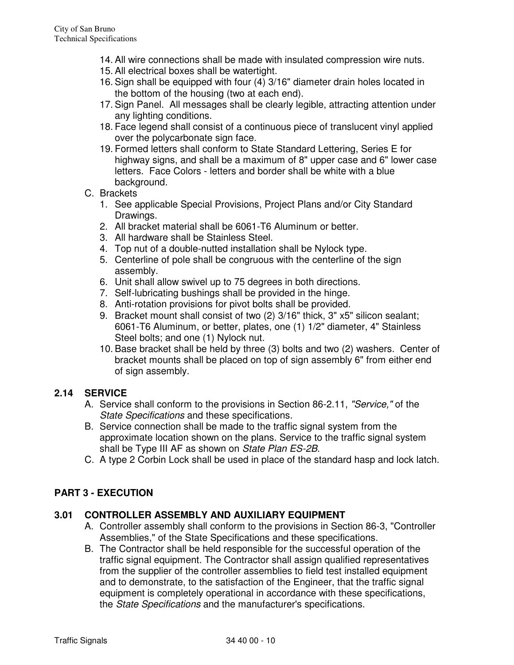- 14. All wire connections shall be made with insulated compression wire nuts.
- 15. All electrical boxes shall be watertight.
- 16. Sign shall be equipped with four (4) 3/16" diameter drain holes located in the bottom of the housing (two at each end).
- 17. Sign Panel. All messages shall be clearly legible, attracting attention under any lighting conditions.
- 18. Face legend shall consist of a continuous piece of translucent vinyl applied over the polycarbonate sign face.
- 19. Formed letters shall conform to State Standard Lettering, Series E for highway signs, and shall be a maximum of 8" upper case and 6" lower case letters. Face Colors - letters and border shall be white with a blue background.
- C. Brackets
	- 1. See applicable Special Provisions, Project Plans and/or City Standard Drawings.
	- 2. All bracket material shall be 6061-T6 Aluminum or better.
	- 3. All hardware shall be Stainless Steel.
	- 4. Top nut of a double-nutted installation shall be Nylock type.
	- 5. Centerline of pole shall be congruous with the centerline of the sign assembly.
	- 6. Unit shall allow swivel up to 75 degrees in both directions.
	- 7. Self-lubricating bushings shall be provided in the hinge.
	- 8. Anti-rotation provisions for pivot bolts shall be provided.
	- 9. Bracket mount shall consist of two (2) 3/16" thick, 3" x5" silicon sealant; 6061-T6 Aluminum, or better, plates, one (1) 1/2" diameter, 4" Stainless Steel bolts; and one (1) Nylock nut.
	- 10. Base bracket shall be held by three (3) bolts and two (2) washers. Center of bracket mounts shall be placed on top of sign assembly 6" from either end of sign assembly.

## **2.14 SERVICE**

- A. Service shall conform to the provisions in Section 86-2.11, "Service," of the State Specifications and these specifications.
- B. Service connection shall be made to the traffic signal system from the approximate location shown on the plans. Service to the traffic signal system shall be Type III AF as shown on State Plan ES-2B.
- C. A type 2 Corbin Lock shall be used in place of the standard hasp and lock latch.

## **PART 3 - EXECUTION**

## **3.01 CONTROLLER ASSEMBLY AND AUXILIARY EQUIPMENT**

- A. Controller assembly shall conform to the provisions in Section 86-3, "Controller Assemblies," of the State Specifications and these specifications.
- B. The Contractor shall be held responsible for the successful operation of the traffic signal equipment. The Contractor shall assign qualified representatives from the supplier of the controller assemblies to field test installed equipment and to demonstrate, to the satisfaction of the Engineer, that the traffic signal equipment is completely operational in accordance with these specifications, the State Specifications and the manufacturer's specifications.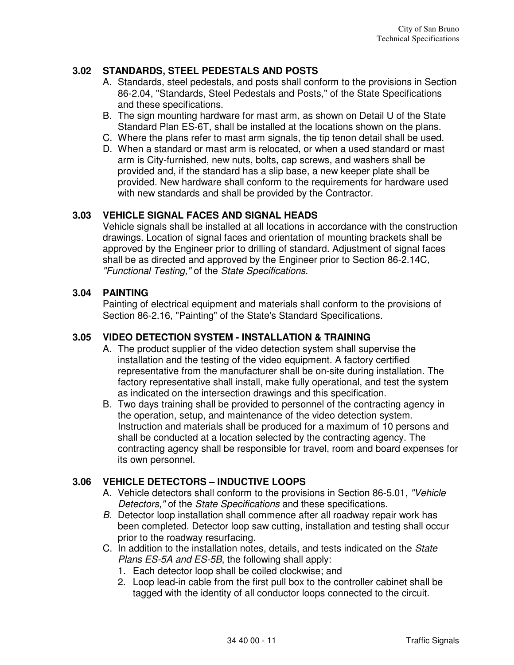# **3.02 STANDARDS, STEEL PEDESTALS AND POSTS**

- A. Standards, steel pedestals, and posts shall conform to the provisions in Section 86-2.04, "Standards, Steel Pedestals and Posts," of the State Specifications and these specifications.
- B. The sign mounting hardware for mast arm, as shown on Detail U of the State Standard Plan ES-6T, shall be installed at the locations shown on the plans.
- C. Where the plans refer to mast arm signals, the tip tenon detail shall be used.
- D. When a standard or mast arm is relocated, or when a used standard or mast arm is City-furnished, new nuts, bolts, cap screws, and washers shall be provided and, if the standard has a slip base, a new keeper plate shall be provided. New hardware shall conform to the requirements for hardware used with new standards and shall be provided by the Contractor.

## **3.03 VEHICLE SIGNAL FACES AND SIGNAL HEADS**

Vehicle signals shall be installed at all locations in accordance with the construction drawings. Location of signal faces and orientation of mounting brackets shall be approved by the Engineer prior to drilling of standard. Adjustment of signal faces shall be as directed and approved by the Engineer prior to Section 86-2.14C, "Functional Testing," of the State Specifications.

### **3.04 PAINTING**

Painting of electrical equipment and materials shall conform to the provisions of Section 86-2.16, "Painting" of the State's Standard Specifications.

## **3.05 VIDEO DETECTION SYSTEM - INSTALLATION & TRAINING**

- A. The product supplier of the video detection system shall supervise the installation and the testing of the video equipment. A factory certified representative from the manufacturer shall be on-site during installation. The factory representative shall install, make fully operational, and test the system as indicated on the intersection drawings and this specification.
- B. Two days training shall be provided to personnel of the contracting agency in the operation, setup, and maintenance of the video detection system. Instruction and materials shall be produced for a maximum of 10 persons and shall be conducted at a location selected by the contracting agency. The contracting agency shall be responsible for travel, room and board expenses for its own personnel.

## **3.06 VEHICLE DETECTORS – INDUCTIVE LOOPS**

- A. Vehicle detectors shall conform to the provisions in Section 86-5.01, "Vehicle Detectors," of the State Specifications and these specifications.
- B. Detector loop installation shall commence after all roadway repair work has been completed. Detector loop saw cutting, installation and testing shall occur prior to the roadway resurfacing.
- C. In addition to the installation notes, details, and tests indicated on the State Plans ES-5A and ES-5B, the following shall apply:
	- 1. Each detector loop shall be coiled clockwise; and
	- 2. Loop lead-in cable from the first pull box to the controller cabinet shall be tagged with the identity of all conductor loops connected to the circuit.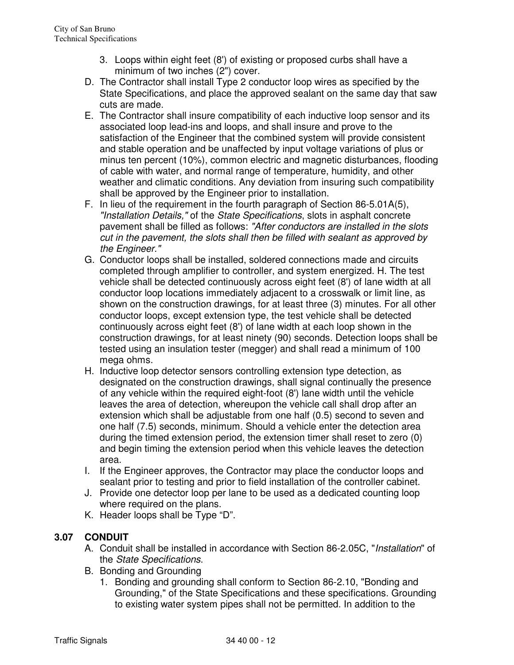- 3. Loops within eight feet (8') of existing or proposed curbs shall have a minimum of two inches (2") cover.
- D. The Contractor shall install Type 2 conductor loop wires as specified by the State Specifications, and place the approved sealant on the same day that saw cuts are made.
- E. The Contractor shall insure compatibility of each inductive loop sensor and its associated loop lead-ins and loops, and shall insure and prove to the satisfaction of the Engineer that the combined system will provide consistent and stable operation and be unaffected by input voltage variations of plus or minus ten percent (10%), common electric and magnetic disturbances, flooding of cable with water, and normal range of temperature, humidity, and other weather and climatic conditions. Any deviation from insuring such compatibility shall be approved by the Engineer prior to installation.
- F. In lieu of the requirement in the fourth paragraph of Section 86-5.01A(5), "Installation Details," of the State Specifications, slots in asphalt concrete pavement shall be filled as follows: "After conductors are installed in the slots cut in the pavement, the slots shall then be filled with sealant as approved by the Engineer."
- G. Conductor loops shall be installed, soldered connections made and circuits completed through amplifier to controller, and system energized. H. The test vehicle shall be detected continuously across eight feet (8') of lane width at all conductor loop locations immediately adjacent to a crosswalk or limit line, as shown on the construction drawings, for at least three (3) minutes. For all other conductor loops, except extension type, the test vehicle shall be detected continuously across eight feet (8') of lane width at each loop shown in the construction drawings, for at least ninety (90) seconds. Detection loops shall be tested using an insulation tester (megger) and shall read a minimum of 100 mega ohms.
- H. Inductive loop detector sensors controlling extension type detection, as designated on the construction drawings, shall signal continually the presence of any vehicle within the required eight-foot (8') lane width until the vehicle leaves the area of detection, whereupon the vehicle call shall drop after an extension which shall be adjustable from one half (0.5) second to seven and one half (7.5) seconds, minimum. Should a vehicle enter the detection area during the timed extension period, the extension timer shall reset to zero (0) and begin timing the extension period when this vehicle leaves the detection area.
- I. If the Engineer approves, the Contractor may place the conductor loops and sealant prior to testing and prior to field installation of the controller cabinet.
- J. Provide one detector loop per lane to be used as a dedicated counting loop where required on the plans.
- K. Header loops shall be Type "D".

# **3.07 CONDUIT**

- A. Conduit shall be installed in accordance with Section 86-2.05C, "Installation" of the State Specifications.
- B. Bonding and Grounding
	- 1. Bonding and grounding shall conform to Section 86-2.10, "Bonding and Grounding," of the State Specifications and these specifications. Grounding to existing water system pipes shall not be permitted. In addition to the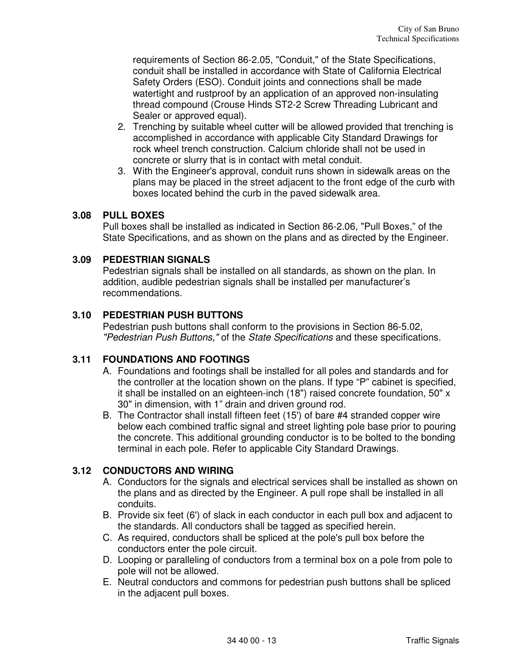requirements of Section 86-2.05, "Conduit," of the State Specifications, conduit shall be installed in accordance with State of California Electrical Safety Orders (ESO). Conduit joints and connections shall be made watertight and rustproof by an application of an approved non-insulating thread compound (Crouse Hinds ST2-2 Screw Threading Lubricant and Sealer or approved equal).

- 2. Trenching by suitable wheel cutter will be allowed provided that trenching is accomplished in accordance with applicable City Standard Drawings for rock wheel trench construction. Calcium chloride shall not be used in concrete or slurry that is in contact with metal conduit.
- 3. With the Engineer's approval, conduit runs shown in sidewalk areas on the plans may be placed in the street adjacent to the front edge of the curb with boxes located behind the curb in the paved sidewalk area.

## **3.08 PULL BOXES**

Pull boxes shall be installed as indicated in Section 86-2.06, "Pull Boxes," of the State Specifications, and as shown on the plans and as directed by the Engineer.

### **3.09 PEDESTRIAN SIGNALS**

Pedestrian signals shall be installed on all standards, as shown on the plan. In addition, audible pedestrian signals shall be installed per manufacturer's recommendations.

### **3.10 PEDESTRIAN PUSH BUTTONS**

Pedestrian push buttons shall conform to the provisions in Section 86-5.02, "Pedestrian Push Buttons," of the State Specifications and these specifications.

#### **3.11 FOUNDATIONS AND FOOTINGS**

- A. Foundations and footings shall be installed for all poles and standards and for the controller at the location shown on the plans. If type "P" cabinet is specified, it shall be installed on an eighteen-inch (18") raised concrete foundation, 50" x 30" in dimension, with 1" drain and driven ground rod.
- B. The Contractor shall install fifteen feet (15') of bare #4 stranded copper wire below each combined traffic signal and street lighting pole base prior to pouring the concrete. This additional grounding conductor is to be bolted to the bonding terminal in each pole. Refer to applicable City Standard Drawings.

## **3.12 CONDUCTORS AND WIRING**

- A. Conductors for the signals and electrical services shall be installed as shown on the plans and as directed by the Engineer. A pull rope shall be installed in all conduits.
- B. Provide six feet (6') of slack in each conductor in each pull box and adjacent to the standards. All conductors shall be tagged as specified herein.
- C. As required, conductors shall be spliced at the pole's pull box before the conductors enter the pole circuit.
- D. Looping or paralleling of conductors from a terminal box on a pole from pole to pole will not be allowed.
- E. Neutral conductors and commons for pedestrian push buttons shall be spliced in the adjacent pull boxes.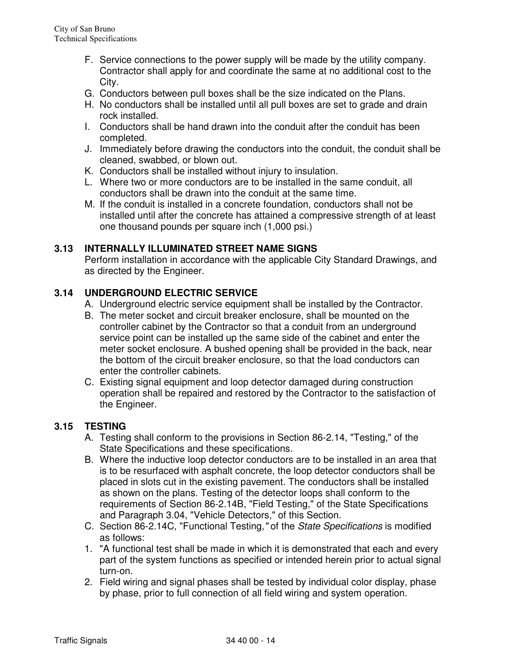- F. Service connections to the power supply will be made by the utility company. Contractor shall apply for and coordinate the same at no additional cost to the City.
- G. Conductors between pull boxes shall be the size indicated on the Plans.
- H. No conductors shall be installed until all pull boxes are set to grade and drain rock installed.
- I. Conductors shall be hand drawn into the conduit after the conduit has been completed.
- J. Immediately before drawing the conductors into the conduit, the conduit shall be cleaned, swabbed, or blown out.
- K. Conductors shall be installed without injury to insulation.
- L. Where two or more conductors are to be installed in the same conduit, all conductors shall be drawn into the conduit at the same time.
- M. If the conduit is installed in a concrete foundation, conductors shall not be installed until after the concrete has attained a compressive strength of at least one thousand pounds per square inch (1,000 psi.)

## **3.13 INTERNALLY ILLUMINATED STREET NAME SIGNS**

Perform installation in accordance with the applicable City Standard Drawings, and as directed by the Engineer.

## **3.14 UNDERGROUND ELECTRIC SERVICE**

- A. Underground electric service equipment shall be installed by the Contractor.
- B. The meter socket and circuit breaker enclosure, shall be mounted on the controller cabinet by the Contractor so that a conduit from an underground service point can be installed up the same side of the cabinet and enter the meter socket enclosure. A bushed opening shall be provided in the back, near the bottom of the circuit breaker enclosure, so that the load conductors can enter the controller cabinets.
- C. Existing signal equipment and loop detector damaged during construction operation shall be repaired and restored by the Contractor to the satisfaction of the Engineer.

## **3.15 TESTING**

- A. Testing shall conform to the provisions in Section 86-2.14, "Testing," of the State Specifications and these specifications.
- B. Where the inductive loop detector conductors are to be installed in an area that is to be resurfaced with asphalt concrete, the loop detector conductors shall be placed in slots cut in the existing pavement. The conductors shall be installed as shown on the plans. Testing of the detector loops shall conform to the requirements of Section 86-2.14B, "Field Testing," of the State Specifications and Paragraph 3.04, "Vehicle Detectors," of this Section.
- C. Section 86-2.14C, "Functional Testing," of the State Specifications is modified as follows:
- 1. "A functional test shall be made in which it is demonstrated that each and every part of the system functions as specified or intended herein prior to actual signal turn-on.
- 2. Field wiring and signal phases shall be tested by individual color display, phase by phase, prior to full connection of all field wiring and system operation.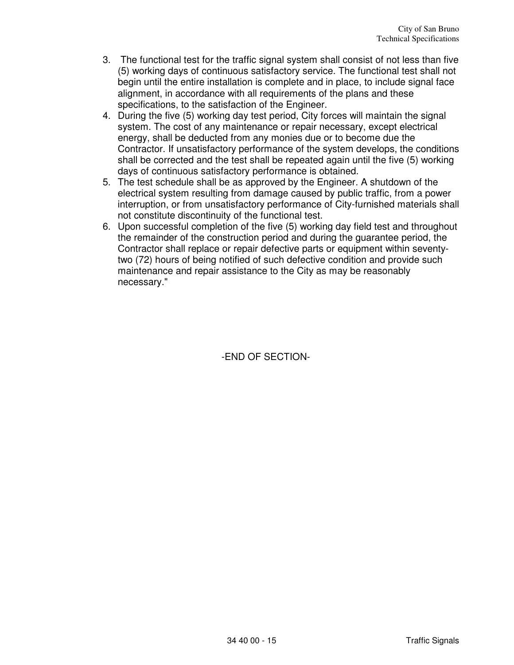- 3. The functional test for the traffic signal system shall consist of not less than five (5) working days of continuous satisfactory service. The functional test shall not begin until the entire installation is complete and in place, to include signal face alignment, in accordance with all requirements of the plans and these specifications, to the satisfaction of the Engineer.
- 4. During the five (5) working day test period, City forces will maintain the signal system. The cost of any maintenance or repair necessary, except electrical energy, shall be deducted from any monies due or to become due the Contractor. If unsatisfactory performance of the system develops, the conditions shall be corrected and the test shall be repeated again until the five (5) working days of continuous satisfactory performance is obtained.
- 5. The test schedule shall be as approved by the Engineer. A shutdown of the electrical system resulting from damage caused by public traffic, from a power interruption, or from unsatisfactory performance of City-furnished materials shall not constitute discontinuity of the functional test.
- 6. Upon successful completion of the five (5) working day field test and throughout the remainder of the construction period and during the guarantee period, the Contractor shall replace or repair defective parts or equipment within seventytwo (72) hours of being notified of such defective condition and provide such maintenance and repair assistance to the City as may be reasonably necessary."

-END OF SECTION-